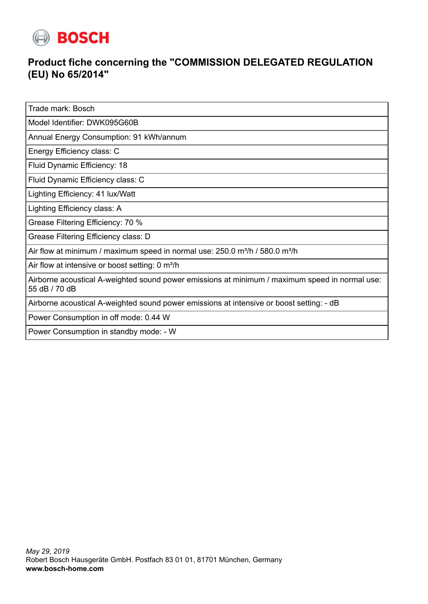

## **Product fiche concerning the "COMMISSION DELEGATED REGULATION (EU) No 65/2014"**

Trade mark: Bosch

Model Identifier: DWK095G60B

Annual Energy Consumption: 91 kWh/annum

Energy Efficiency class: C

Fluid Dynamic Efficiency: 18

Fluid Dynamic Efficiency class: C

Lighting Efficiency: 41 lux/Watt

Lighting Efficiency class: A

Grease Filtering Efficiency: 70 %

Grease Filtering Efficiency class: D

Air flow at minimum / maximum speed in normal use:  $250.0$  m<sup>3</sup>/h /  $580.0$  m<sup>3</sup>/h

Air flow at intensive or boost setting: 0 m<sup>3</sup>/h

Airborne acoustical A-weighted sound power emissions at minimum / maximum speed in normal use: 55 dB / 70 dB

Airborne acoustical A-weighted sound power emissions at intensive or boost setting: - dB

Power Consumption in off mode: 0.44 W

Power Consumption in standby mode: - W